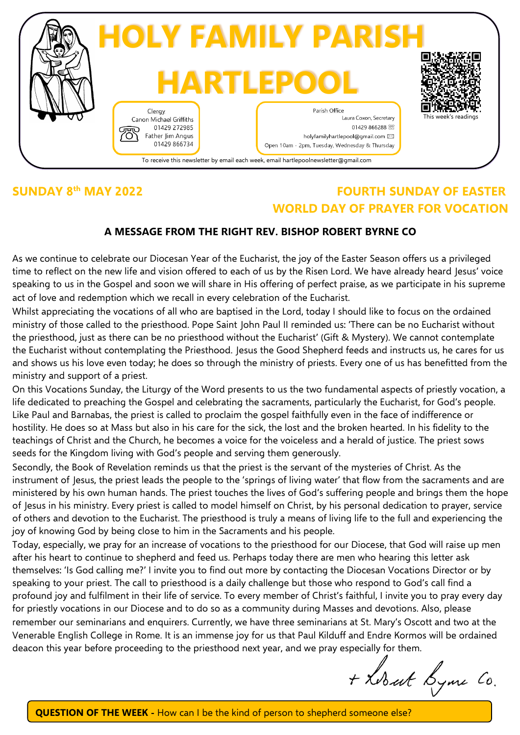

## **SUNDAY 8**

## **th MAY 2022 FOURTH SUNDAY OF EASTER WORLD DAY OF PRAYER FOR VOCATION**

## **A MESSAGE FROM THE RIGHT REV. BISHOP ROBERT BYRNE CO**

As we continue to celebrate our Diocesan Year of the Eucharist, the joy of the Easter Season offers us a privileged time to reflect on the new life and vision offered to each of us by the Risen Lord. We have already heard Jesus' voice speaking to us in the Gospel and soon we will share in His offering of perfect praise, as we participate in his supreme act of love and redemption which we recall in every celebration of the Eucharist.

Whilst appreciating the vocations of all who are baptised in the Lord, today I should like to focus on the ordained ministry of those called to the priesthood. Pope Saint John Paul II reminded us: 'There can be no Eucharist without the priesthood, just as there can be no priesthood without the Eucharist' (Gift & Mystery). We cannot contemplate the Eucharist without contemplating the Priesthood. Jesus the Good Shepherd feeds and instructs us, he cares for us and shows us his love even today; he does so through the ministry of priests. Every one of us has benefitted from the ministry and support of a priest.

On this Vocations Sunday, the Liturgy of the Word presents to us the two fundamental aspects of priestly vocation, a life dedicated to preaching the Gospel and celebrating the sacraments, particularly the Eucharist, for God's people. Like Paul and Barnabas, the priest is called to proclaim the gospel faithfully even in the face of indifference or hostility. He does so at Mass but also in his care for the sick, the lost and the broken hearted. In his fidelity to the teachings of Christ and the Church, he becomes a voice for the voiceless and a herald of justice. The priest sows seeds for the Kingdom living with God's people and serving them generously.

Secondly, the Book of Revelation reminds us that the priest is the servant of the mysteries of Christ. As the instrument of Jesus, the priest leads the people to the 'springs of living water' that flow from the sacraments and are ministered by his own human hands. The priest touches the lives of God's suffering people and brings them the hope of Jesus in his ministry. Every priest is called to model himself on Christ, by his personal dedication to prayer, service of others and devotion to the Eucharist. The priesthood is truly a means of living life to the full and experiencing the joy of knowing God by being close to him in the Sacraments and his people.

Today, especially, we pray for an increase of vocations to the priesthood for our Diocese, that God will raise up men after his heart to continue to shepherd and feed us. Perhaps today there are men who hearing this letter ask themselves: 'Is God calling me?' I invite you to find out more by contacting the Diocesan Vocations Director or by speaking to your priest. The call to priesthood is a daily challenge but those who respond to God's call find a profound joy and fulfilment in their life of service. To every member of Christ's faithful, I invite you to pray every day for priestly vocations in our Diocese and to do so as a community during Masses and devotions. Also, please remember our seminarians and enquirers. Currently, we have three seminarians at St. Mary's Oscott and two at the Venerable English College in Rome. It is an immense joy for us that Paul Kilduff and Endre Kormos will be ordained deacon this year before proceeding to the priesthood next year, and we pray especially for them.

+ Lobart Lyme Co.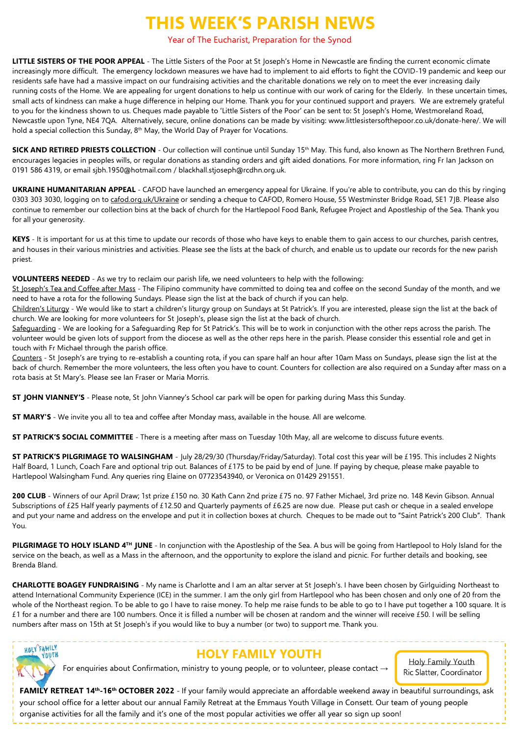# **THIS WEEK'S PARISH NEWS**

#### Year of The Eucharist, Preparation for the Synod

**LITTLE SISTERS OF THE POOR APPEAL** - The Little Sisters of the Poor at St Joseph's Home in Newcastle are finding the current economic climate increasingly more difficult. The emergency lockdown measures we have had to implement to aid efforts to fight the COVID-19 pandemic and keep our residents safe have had a massive impact on our fundraising activities and the charitable donations we rely on to meet the ever increasing daily running costs of the Home. We are appealing for urgent donations to help us continue with our work of caring for the Elderly. In these uncertain times, small acts of kindness can make a huge difference in helping our Home. Thank you for your continued support and prayers. We are extremely grateful to you for the kindness shown to us. Cheques made payable to 'Little Sisters of the Poor' can be sent to: St Joseph's Home, Westmoreland Road, Newcastle upon Tyne, NE4 7QA. Alternatively, secure, online donations can be made by visiting: www.littlesistersofthepoor.co.uk/donate-here/. We will hold a special collection this Sunday, 8<sup>th</sup> May, the World Day of Prayer for Vocations.

**SICK AND RETIRED PRIESTS COLLECTION** - Our collection will continue until Sunday 15th May. This fund, also known as The Northern Brethren Fund, encourages legacies in peoples wills, or regular donations as standing orders and gift aided donations. For more information, ring Fr Ian Jackson on 0191 586 4319, or email sjbh.1950@hotmail.com / blackhall.stjoseph@rcdhn.org.uk.

**UKRAINE HUMANITARIAN APPEAL** - CAFOD have launched an emergency appeal for Ukraine. If you're able to contribute, you can do this by ringing 0303 303 3030, logging on to cafod.org.uk/Ukraine or sending a cheque to CAFOD, Romero House, 55 Westminster Bridge Road, SE1 7JB. Please also continue to remember our collection bins at the back of church for the Hartlepool Food Bank, Refugee Project and Apostleship of the Sea. Thank you for all your generosity.

**KEYS** - It is important for us at this time to update our records of those who have keys to enable them to gain access to our churches, parish centres, and houses in their various ministries and activities. Please see the lists at the back of church, and enable us to update our records for the new parish priest.

#### **VOLUNTEERS NEEDED** - As we try to reclaim our parish life, we need volunteers to help with the following:

St Joseph's Tea and Coffee after Mass - The Filipino community have committed to doing tea and coffee on the second Sunday of the month, and we need to have a rota for the following Sundays. Please sign the list at the back of church if you can help.

Children's Liturgy - We would like to start a children's liturgy group on Sundays at St Patrick's. If you are interested, please sign the list at the back of church. We are looking for more volunteers for St Joseph's, please sign the list at the back of church.

Safeguarding - We are looking for a Safeguarding Rep for St Patrick's. This will be to work in conjunction with the other reps across the parish. The volunteer would be given lots of support from the diocese as well as the other reps here in the parish. Please consider this essential role and get in touch with Fr Michael through the parish office.

Counters - St Joseph's are trying to re-establish a counting rota, if you can spare half an hour after 10am Mass on Sundays, please sign the list at the back of church. Remember the more volunteers, the less often you have to count. Counters for collection are also required on a Sunday after mass on a rota basis at St Mary's. Please see Ian Fraser or Maria Morris.

**ST JOHN VIANNEY'S** - Please note, St John Vianney's School car park will be open for parking during Mass this Sunday.

**ST MARY'S** - We invite you all to tea and coffee after Monday mass, available in the house. All are welcome.

**ST PATRICK'S SOCIAL COMMITTEE** - There is a meeting after mass on Tuesday 10th May, all are welcome to discuss future events.

**ST PATRICK'S PILGRIMAGE TO WALSINGHAM** - July 28/29/30 (Thursday/Friday/Saturday). Total cost this year will be £195. This includes 2 Nights Half Board, 1 Lunch, Coach Fare and optional trip out. Balances of £175 to be paid by end of June. If paying by cheque, please make payable to Hartlepool Walsingham Fund. Any queries ring Elaine on 07723543940, or Veronica on 01429 291551.

200 CLUB - Winners of our April Draw; 1st prize £150 no. 30 Kath Cann 2nd prize £75 no. 97 Father Michael, 3rd prize no. 148 Kevin Gibson. Annual Subscriptions of £25 Half yearly payments of £12.50 and Quarterly payments of £6.25 are now due. Please put cash or cheque in a sealed envelope and put your name and address on the envelope and put it in collection boxes at church. Cheques to be made out to "Saint Patrick's 200 Club". Thank You.

**PILGRIMAGE TO HOLY ISLAND 4<sup>TH</sup> JUNE** - In conjunction with the Apostleship of the Sea. A bus will be going from Hartlepool to Holy Island for the service on the beach, as well as a Mass in the afternoon, and the opportunity to explore the island and picnic. For further details and booking, see Brenda Bland.

**CHARLOTTE BOAGEY FUNDRAISING** - My name is Charlotte and I am an altar server at St Joseph's. I have been chosen by Girlguiding Northeast to attend International Community Experience (ICE) in the summer. I am the only girl from Hartlepool who has been chosen and only one of 20 from the whole of the Northeast region. To be able to go I have to raise money. To help me raise funds to be able to go to I have put together a 100 square. It is £1 for a number and there are 100 numbers. Once it is filled a number will be chosen at random and the winner will receive £50. I will be selling numbers after mass on 15th at St Joseph's if you would like to buy a number (or two) to support me. Thank you.



## **HOLY FAMILY YOUTH**

For enquiries about Confirmation, ministry to young people, or to volunteer, please contact →

Holy Family Youth Ric Slatter, Coordinator

**FAMILY RETREAT 14th -16th OCTOBER 2022** - If your family would appreciate an affordable weekend away in beautiful surroundings, ask your school office for a letter about our annual Family Retreat at the Emmaus Youth Village in Consett. Our team of young people organise activities for all the family and it's one of the most popular activities we offer all year so sign up soon!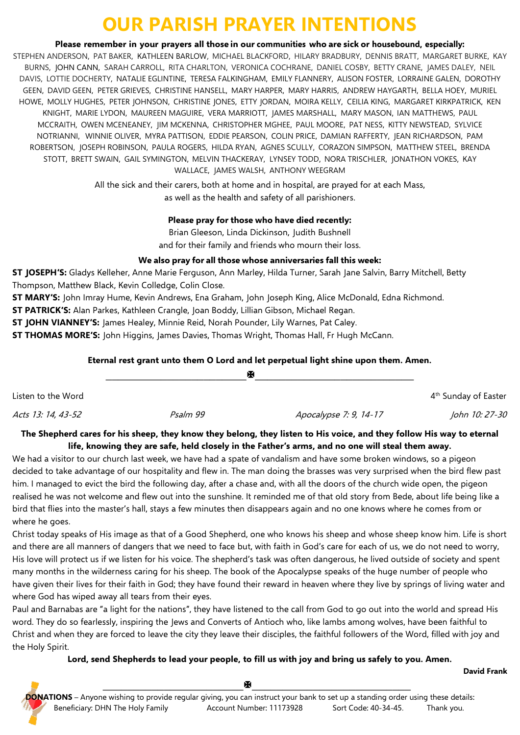# **OUR PARISH PRAYER INTENTIONS**

**Please remember in your prayers all those in our communities who are sick or housebound, especially:**

STEPHEN ANDERSON, PAT BAKER, KATHLEEN BARLOW, MICHAEL BLACKFORD, HILARY BRADBURY, DENNIS BRATT, MARGARET BURKE, KAY BURNS, JOHN CANN, SARAH CARROLL, RITA CHARLTON, VERONICA COCHRANE, DANIEL COSBY, BETTY CRANE, JAMES DALEY, NEIL DAVIS, LOTTIE DOCHERTY, NATALIE EGLINTINE, TERESA FALKINGHAM, EMILY FLANNERY, ALISON FOSTER, LORRAINE GALEN, DOROTHY GEEN, DAVID GEEN, PETER GRIEVES, CHRISTINE HANSELL, MARY HARPER, MARY HARRIS, ANDREW HAYGARTH, BELLA HOEY, MURIEL HOWE, MOLLY HUGHES, PETER JOHNSON, CHRISTINE JONES, ETTY JORDAN, MOIRA KELLY, CEILIA KING, MARGARET KIRKPATRICK, KEN KNIGHT, MARIE LYDON, MAUREEN MAGUIRE, VERA MARRIOTT, JAMES MARSHALL, MARY MASON, IAN MATTHEWS, PAUL MCCRAITH, OWEN MCENEANEY, JIM MCKENNA, CHRISTOPHER MGHEE, PAUL MOORE, PAT NESS, KITTY NEWSTEAD, SYLVICE NOTRIANNI, WINNIE OLIVER, MYRA PATTISON, EDDIE PEARSON, COLIN PRICE, DAMIAN RAFFERTY, JEAN RICHARDSON, PAM ROBERTSON, JOSEPH ROBINSON, PAULA ROGERS, HILDA RYAN, AGNES SCULLY, CORAZON SIMPSON, MATTHEW STEEL, BRENDA STOTT, BRETT SWAIN, GAIL SYMINGTON, MELVIN THACKERAY, LYNSEY TODD, NORA TRISCHLER, JONATHON VOKES, KAY WALLACE, JAMES WALSH, ANTHONY WEEGRAM

> All the sick and their carers, both at home and in hospital, are prayed for at each Mass, as well as the health and safety of all parishioners.

### **Please pray for those who have died recently:**

Brian Gleeson, Linda Dickinson, Judith Bushnell and for their family and friends who mourn their loss.

### **We also pray for all those whose anniversaries fall this week:**

**ST JOSEPH'S:** Gladys Kelleher, Anne Marie Ferguson, Ann Marley, Hilda Turner, Sarah Jane Salvin, Barry Mitchell, Betty Thompson, Matthew Black, Kevin Colledge, Colin Close.

**ST MARY'S:** John Imray Hume, Kevin Andrews, Ena Graham, John Joseph King, Alice McDonald, Edna Richmond.

**ST PATRICK'S:** Alan Parkes, Kathleen Crangle, Joan Boddy, Lillian Gibson, Michael Regan.

**ST JOHN VIANNEY'S:** James Healey, Minnie Reid, Norah Pounder, Lily Warnes, Pat Caley.

**ST THOMAS MORE'S:** John Higgins, James Davies, Thomas Wright, Thomas Hall, Fr Hugh McCann.

### **Eternal rest grant unto them O Lord and let perpetual light shine upon them. Amen.**

|                    |          | ж                      |                                  |
|--------------------|----------|------------------------|----------------------------------|
| Listen to the Word |          |                        | 4 <sup>th</sup> Sunday of Easter |
| Acts 13: 14, 43-52 | Psalm 99 | Apocalypse 7: 9, 14-17 | John 10: 27-30                   |

### **The Shepherd cares for his sheep, they know they belong, they listen to His voice, and they follow His way to eternal life, knowing they are safe, held closely in the Father's arms, and no one will steal them away.**

We had a visitor to our church last week, we have had a spate of vandalism and have some broken windows, so a pigeon decided to take advantage of our hospitality and flew in. The man doing the brasses was very surprised when the bird flew past him. I managed to evict the bird the following day, after a chase and, with all the doors of the church wide open, the pigeon realised he was not welcome and flew out into the sunshine. It reminded me of that old story from Bede, about life being like a bird that flies into the master's hall, stays a few minutes then disappears again and no one knows where he comes from or where he goes.

Christ today speaks of His image as that of a Good Shepherd, one who knows his sheep and whose sheep know him. Life is short and there are all manners of dangers that we need to face but, with faith in God's care for each of us, we do not need to worry, His love will protect us if we listen for his voice. The shepherd's task was often dangerous, he lived outside of society and spent many months in the wilderness caring for his sheep. The book of the Apocalypse speaks of the huge number of people who have given their lives for their faith in God; they have found their reward in heaven where they live by springs of living water and where God has wiped away all tears from their eyes.

Paul and Barnabas are "a light for the nations", they have listened to the call from God to go out into the world and spread His word. They do so fearlessly, inspiring the Jews and Converts of Antioch who, like lambs among wolves, have been faithful to Christ and when they are forced to leave the city they leave their disciples, the faithful followers of the Word, filled with joy and the Holy Spirit.

### **Lord, send Shepherds to lead your people, to fill us with joy and bring us safely to you. Amen.**



**David Frank**